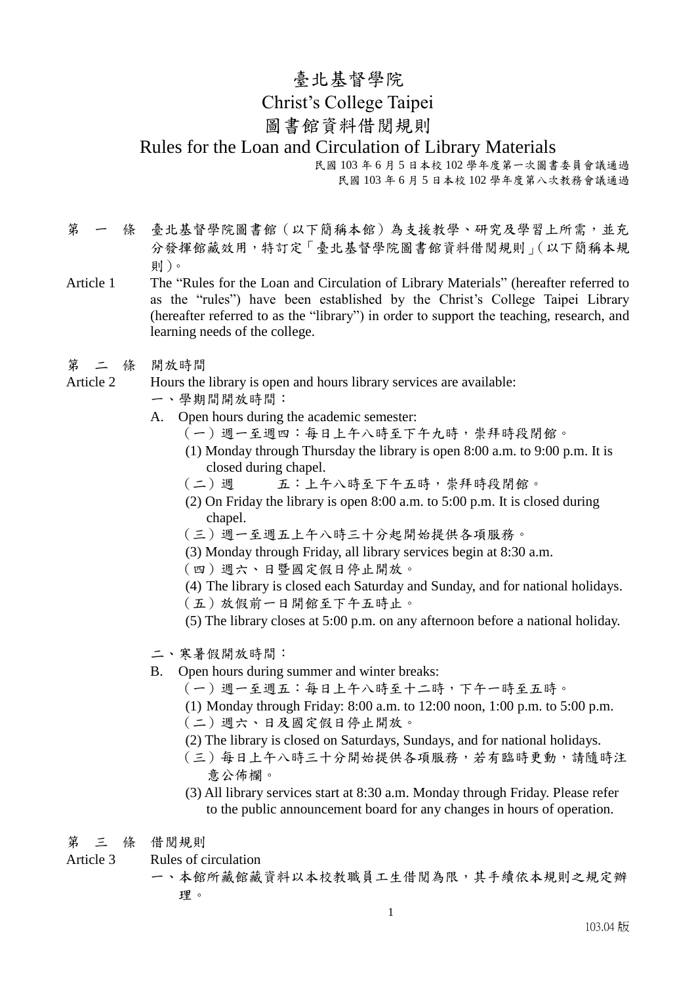## 臺北基督學院 Christ's College Taipei 圖書館資料借閱規則 Rules for the Loan and Circulation of Library Materials 民國 103 年 6 月 5 日本校 102 學年度第一次圖書委員會議通過

民國 103 年 6 月 5 日本校 102 學年度第八次教務會議通過

第 一 條 臺北基督學院圖書館 (以下簡稱本館)為支援教學、研究及學習上所需,並充 分發揮館藏效用,特訂定「臺北基督學院圖書館資料借閱規則」(以下簡稱本規 則)。

- Article 1 The "Rules for the Loan and Circulation of Library Materials" (hereafter referred to as the "rules") have been established by the Christ's College Taipei Library (hereafter referred to as the "library") in order to support the teaching, research, and learning needs of the college.
- 第 二 條 開放時間

Article 2 Hours the library is open and hours library services are available:

- 一、學期間開放時間:
- A. Open hours during the academic semester:
	- (一)週一至週四:每日上午八時至下午九時,崇拜時段閉館。
	- (1) Monday through Thursday the library is open 8:00 a.m. to 9:00 p.m. It is closed during chapel.
	- (二)週 五:上午八時至下午五時,崇拜時段閉館。
	- (2) On Friday the library is open 8:00 a.m. to 5:00 p.m. It is closed during chapel.
	- (三)週一至週五上午八時三十分起開始提供各項服務。
	- (3) Monday through Friday, all library services begin at 8:30 a.m.
	- (四)週六、日暨國定假日停止開放。
	- (4) The library is closed each Saturday and Sunday, and for national holidays.
	- (五)放假前一日開館至下午五時止。
	- (5) The library closes at 5:00 p.m. on any afternoon before a national holiday.
- 二、寒暑假開放時間:
- B. Open hours during summer and winter breaks:
	- (一)週一至週五:每日上午八時至十二時,下午一時至五時。
	- (1) Monday through Friday: 8:00 a.m. to 12:00 noon, 1:00 p.m. to 5:00 p.m.
	- (二)週六、日及國定假日停止開放。
	- (2) The library is closed on Saturdays, Sundays, and for national holidays.
	- (三)每日上午八時三十分開始提供各項服務,若有臨時更動,請隨時注 意公佈欄。
	- (3) All library services start at 8:30 a.m. Monday through Friday. Please refer to the public announcement board for any changes in hours of operation.

第 三 條 借閱規則

- Article 3 Rules of circulation
	- 一、本館所藏館藏資料以本校教職員工生借閱為限,其手續依本規則之規定辦 理。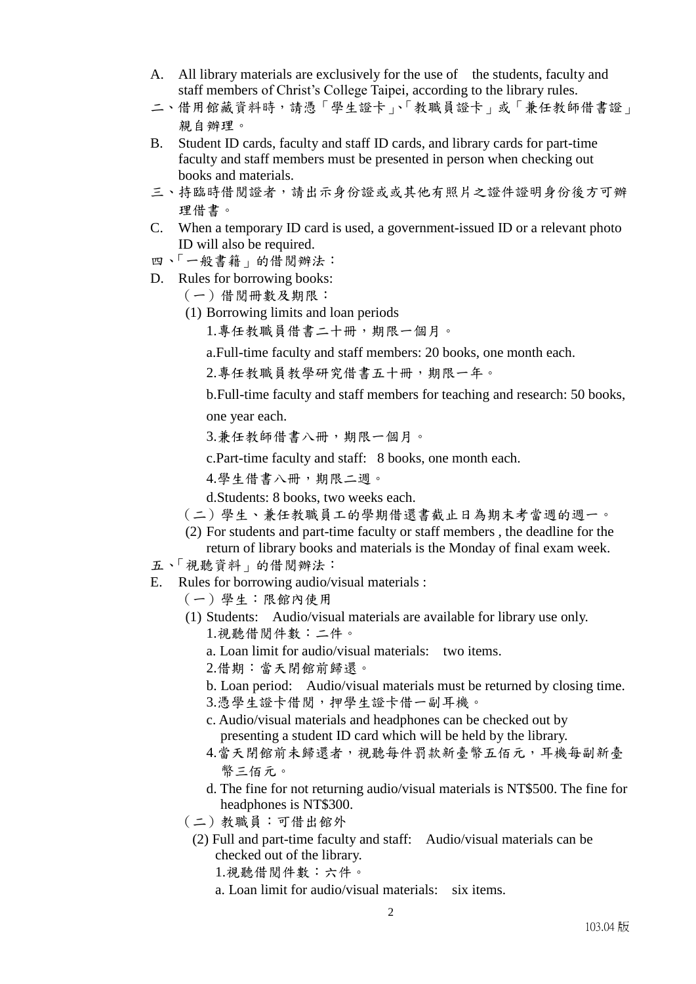- A. All library materials are exclusively for the use of the students, faculty and staff members of Christ's College Taipei, according to the library rules.
- 二、借用館藏資料時,請憑「學生證卡」、「教職員證卡」或「兼任教師借書證」 親自辦理。
- B. Student ID cards, faculty and staff ID cards, and library cards for part-time faculty and staff members must be presented in person when checking out books and materials.
- 三、持臨時借閱證者,請出示身份證或或其他有照片之證件證明身份後方可辦 理借書。
- C. When a temporary ID card is used, a government-issued ID or a relevant photo ID will also be required.
- 四、「一般書籍」的借閱辦法:
- D. Rules for borrowing books:
	- (一)借閱冊數及期限:
	- (1) Borrowing limits and loan periods

1.專任教職員借書二十冊,期限一個月。

a.Full-time faculty and staff members: 20 books, one month each.

2.專任教職員教學研究借書五十冊,期限一年。

b.Full-time faculty and staff members for teaching and research: 50 books, one year each.

3.兼任教師借書八冊,期限一個月。

c.Part-time faculty and staff: 8 books, one month each.

4.學生借書八冊,期限二週。

d.Students: 8 books, two weeks each.

- (二)學生、兼任教職員工的學期借還書截止日為期末考當週的週一。
- (2) For students and part-time faculty or staff members , the deadline for the return of library books and materials is the Monday of final exam week.
- 五、「視聽資料」的借閱辦法:
- E. Rules for borrowing audio/visual materials :
	- (一)學生:限館內使用
	- (1) Students: Audio/visual materials are available for library use only.
		- 1.視聽借閱件數:二件。
		- a. Loan limit for audio/visual materials: two items.
		- 2.借期:當天閉館前歸還。
		- b. Loan period: Audio/visual materials must be returned by closing time.
		- 3.憑學生證卡借閱,押學生證卡借一副耳機。
		- c. Audio/visual materials and headphones can be checked out by presenting a student ID card which will be held by the library.
		- 4.當天閉館前未歸還者,視聽每件罰款新臺幣五佰元,耳機每副新臺 幣三佰元。
		- d. The fine for not returning audio/visual materials is NT\$500. The fine for headphones is NT\$300.
	- (二)教職員:可借出館外
	- (2) Full and part-time faculty and staff: Audio/visual materials can be checked out of the library.
		- 1.視聽借閱件數:六件。
		- a. Loan limit for audio/visual materials: six items.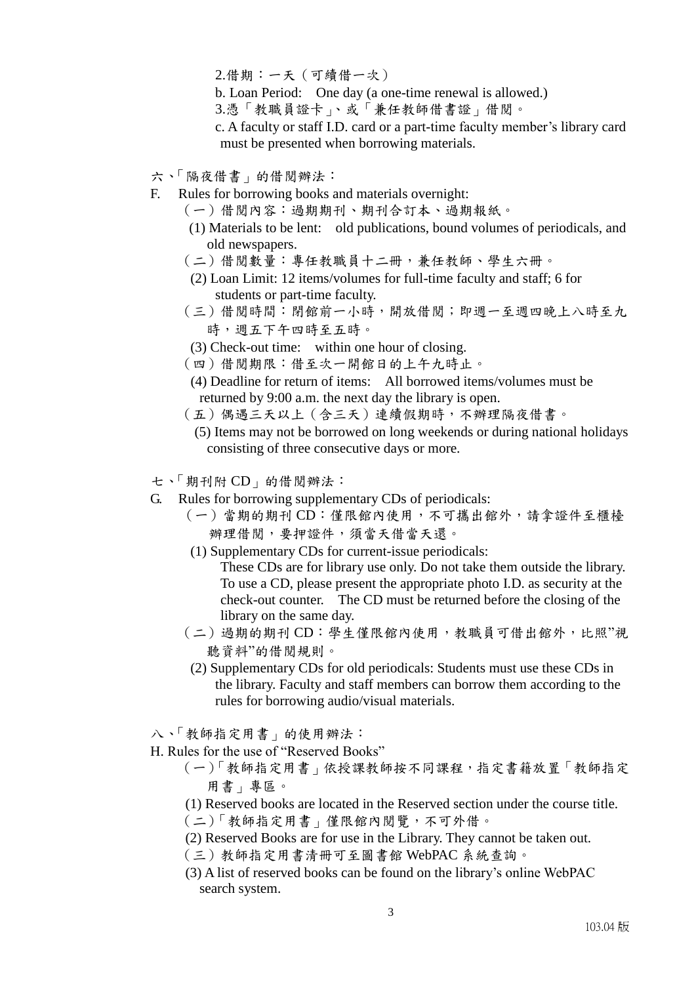2.借期:一天(可續借一次)

- b. Loan Period: One day (a one-time renewal is allowed.)
- 3.憑「教職員證卡」、或「兼任教師借書證」借閱。

c. A faculty or staff I.D. card or a part-time faculty member's library card must be presented when borrowing materials.

- 六、「隔夜借書」的借閱辦法:
- F. Rules for borrowing books and materials overnight:
	- (一)借閱內容:過期期刊、期刊合訂本、過期報紙。
	- (1) Materials to be lent: old publications, bound volumes of periodicals, and old newspapers.
	- (二)借閱數量:專任教職員十二冊,兼任教師、學生六冊。
	- (2) Loan Limit: 12 items/volumes for full-time faculty and staff; 6 for students or part-time faculty.
	- (三)借閱時間:閉館前一小時,開放借閱;即週一至週四晚上八時至九 時,週五下午四時至五時。
	- (3) Check-out time: within one hour of closing.
	- (四)借閱期限:借至次一開館日的上午九時止。
	- (4) Deadline for return of items: All borrowed items/volumes must be returned by 9:00 a.m. the next day the library is open.
	- (五)偶遇三天以上(含三天)連續假期時,不辦理隔夜借書。
		- (5) Items may not be borrowed on long weekends or during national holidays consisting of three consecutive days or more.
- 七、「期刊附 CD」的借閱辦法:
- G. Rules for borrowing supplementary CDs of periodicals:
	- (一)當期的期刊 CD:僅限館內使用,不可攜出館外,請拿證件至櫃檯 辦理借閱,要押證件,須當天借當天還。
	- (1) Supplementary CDs for current-issue periodicals: These CDs are for library use only. Do not take them outside the library. To use a CD, please present the appropriate photo I.D. as security at the check-out counter. The CD must be returned before the closing of the library on the same day.
	- (二)過期的期刊 CD:學生僅限館內使用,教職員可借出館外,比照"視 聽資料"的借閱規則。
	- (2) Supplementary CDs for old periodicals: Students must use these CDs in the library. Faculty and staff members can borrow them according to the rules for borrowing audio/visual materials.
- 八、「教師指定用書」的使用辦法:
- H. Rules for the use of "Reserved Books"
	- (一)「教師指定用書」依授課教師按不同課程,指定書籍放置「教師指定 用書」專區。
	- (1) Reserved books are located in the Reserved section under the course title.
	- (二)「教師指定用書」僅限館內閱覽,不可外借。
	- (2) Reserved Books are for use in the Library. They cannot be taken out.
	- (三)教師指定用書清冊可至圖書館 WebPAC 系統查詢。
	- (3) A list of reserved books can be found on the library's online WebPAC search system.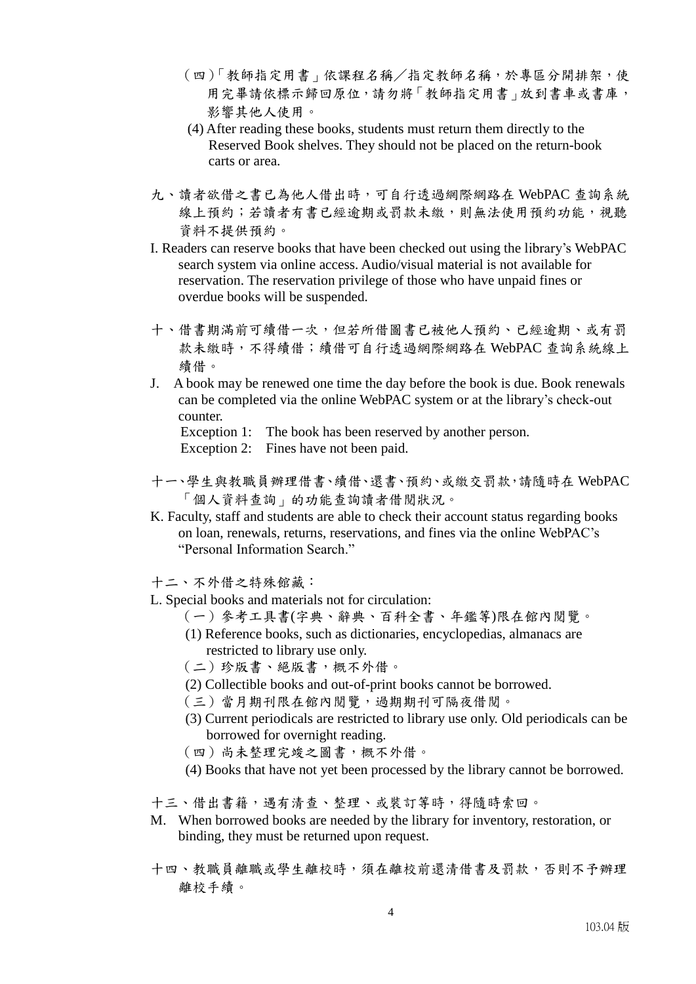- (四)「教師指定用書」依課程名稱/指定教師名稱,於專區分開排架,使 用完畢請依標示歸回原位,請勿將「教師指定用書」放到書車或書庫, 影響其他人使用。
- (4) After reading these books, students must return them directly to the Reserved Book shelves. They should not be placed on the return-book carts or area.
- 九、讀者欲借之書已為他人借出時,可自行透過網際網路在 WebPAC 查詢系統 線上預約;若讀者有書已經逾期或罰款未繳,則無法使用預約功能,視聽 資料不提供預約。
- I. Readers can reserve books that have been checked out using the library's WebPAC search system via online access. Audio/visual material is not available for reservation. The reservation privilege of those who have unpaid fines or overdue books will be suspended.
- 十、借書期滿前可續借一次,但若所借圖書已被他人預約、已經逾期、或有罰 款未繳時,不得續借;續借可自行透過網際網路在 WebPAC 查詢系統線上 續借。
- J. A book may be renewed one time the day before the book is due. Book renewals can be completed via the online WebPAC system or at the library's check-out counter.

Exception 1: The book has been reserved by another person.

Exception 2: Fines have not been paid.

- 十一、學生與教職員辦理借書、續借、還書、預約、或繳交罰款,請隨時在 WebPAC 「個人資料查詢」的功能查詢讀者借閱狀況。
- K. Faculty, staff and students are able to check their account status regarding books on loan, renewals, returns, reservations, and fines via the online WebPAC's "Personal Information Search."
- 十二、不外借之特殊館藏:
- L. Special books and materials not for circulation:
	- (一)參考工具書(字典、辭典、百科全書、年鑑等)限在館內閱覽。
	- (1) Reference books, such as dictionaries, encyclopedias, almanacs are restricted to library use only.
	- (二)珍版書、絕版書,概不外借。
	- (2) Collectible books and out-of-print books cannot be borrowed.
	- (三)當月期刊限在館內閱覽,過期期刊可隔夜借閱。
	- (3) Current periodicals are restricted to library use only. Old periodicals can be borrowed for overnight reading.
	- (四)尚未整理完竣之圖書,概不外借。
	- (4) Books that have not yet been processed by the library cannot be borrowed.
- 十三、借出書籍,遇有清查、整理、或裝訂等時,得隨時索回。
- M. When borrowed books are needed by the library for inventory, restoration, or binding, they must be returned upon request.
- 十四、教職員離職或學生離校時,須在離校前還清借書及罰款,否則不予辦理 離校手續。